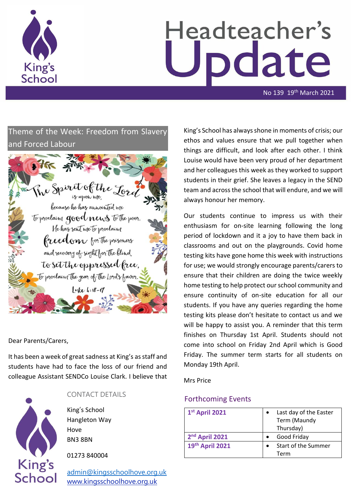

# Headteacher's odate

No 139 19th March 2021

# Theme of the Week: Freedom from Slavery and Forced Labour



#### Dear Parents/Carers,

It has been a week of great sadness at King's as staff and students have had to face the loss of our friend and colleague Assistant SENDCo Louise Clark. I believe that



## CONTACT DETAILS

King's School Hangleton Way Hove BN3 8BN

01273 840004

[admin@kingsschoolhove.org.uk](mailto:admin@kingsschoolhove.org.uk) [www.kingsschoolhove.org.uk](http://www.kingsschoolhove.org.uk/)

King's School has always shone in moments of crisis; our ethos and values ensure that we pull together when things are difficult, and look after each other. I think Louise would have been very proud of her department and her colleagues this week as they worked to support students in their grief. She leaves a legacy in the SEND team and across the school that will endure, and we will always honour her memory.

Our students continue to impress us with their enthusiasm for on-site learning following the long period of lockdown and it a joy to have them back in classrooms and out on the playgrounds. Covid home testing kits have gone home this week with instructions for use; we would strongly encourage parents/carers to ensure that their children are doing the twice weekly home testing to help protect our school community and ensure continuity of on-site education for all our students. If you have any queries regarding the home testing kits please don't hesitate to contact us and we will be happy to assist you. A reminder that this term finishes on Thursday 1st April. Students should not come into school on Friday 2nd April which is Good Friday. The summer term starts for all students on Monday 19th April.

Mrs Price

## Forthcoming Events

| 1st April 2021             | Last day of the Easter<br>Term (Maundy<br>Thursday) |
|----------------------------|-----------------------------------------------------|
| 2 <sup>nd</sup> April 2021 | Good Friday                                         |
| 19th April 2021            | Start of the Summer                                 |
|                            | Term                                                |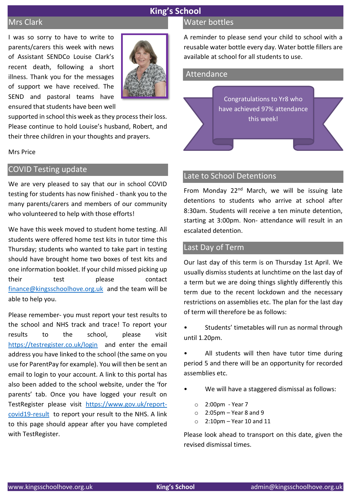## Mrs Clark

I was so sorry to have to write to parents/carers this week with news of Assistant SENDCo Louise Clark's recent death, following a short illness. Thank you for the messages of support we have received. The SEND and pastoral teams have ensured that students have been well



supported in school this week as they process their loss. Please continue to hold Louise's husband, Robert, and their three children in your thoughts and prayers.

Mrs Price

## COVID Testing update

We are very pleased to say that our in school COVID testing for students has now finished - thank you to the many parents/carers and members of our community who volunteered to help with those efforts!

We have this week moved to student home testing. All students were offered home test kits in tutor time this Thursday; students who wanted to take part in testing should have brought home two boxes of test kits and one information booklet. If your child missed picking up their test please contact [finance@kingsschoolhove.org.uk](mailto:finance@kingsschoolhove.org.uk) and the team will be able to help you.

Please remember- you must report your test results to the school and NHS track and trace! To report your results to the school, please visit <https://testregister.co.uk/login>and enter the email address you have linked to the school (the same on you use for ParentPay for example). You will then be sent an email to login to your account. A link to this portal has also been added to the school website, under the 'for parents' tab. Once you have logged your result on TestRegister please visit [https://www.gov.uk/report](https://www.gov.uk/report-covid19-result)[covid19-result](https://www.gov.uk/report-covid19-result) to report your result to the NHS. A link to this page should appear after you have completed with TestRegister.

## Water bottles

A reminder to please send your child to school with a reusable water bottle every day. Water bottle fillers are available at school for all students to use.

| Attendance |                                                                          |  |
|------------|--------------------------------------------------------------------------|--|
|            | Congratulations to Yr8 who<br>have achieved 97% attendance<br>this week! |  |

## Late to School Detentions

From Monday 22<sup>nd</sup> March, we will be issuing late detentions to students who arrive at school after 8:30am. Students will receive a ten minute detention, starting at 3:00pm. Non- attendance will result in an escalated detention.

#### Last Day of Term

Our last day of this term is on Thursday 1st April. We usually dismiss students at lunchtime on the last day of a term but we are doing things slightly differently this term due to the recent lockdown and the necessary restrictions on assemblies etc. The plan for the last day of term will therefore be as follows:

Students' timetables will run as normal through until 1.20pm.

All students will then have tutor time during period 5 and there will be an opportunity for recorded assemblies etc.

- We will have a staggered dismissal as follows:
	- o 2:00pm Year 7
	- $\circ$  2:05pm Year 8 and 9
	- $\circ$  2:10pm Year 10 and 11

Please look ahead to transport on this date, given the revised dismissal times.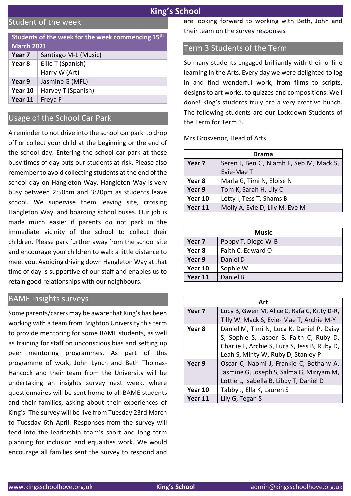# Student of the week

| Students of the week for the week commencing 15 <sup>th</sup><br><b>March 2021</b> |                                    |
|------------------------------------------------------------------------------------|------------------------------------|
| Year 7                                                                             | Santiago M-L (Music)               |
| Year 8                                                                             | Ellie T (Spanish)<br>Harry W (Art) |
| Year 9                                                                             | Jasmine G (MFL)                    |
| Year 10                                                                            | Harvey T (Spanish)                 |
| Year 11                                                                            | Freya F                            |

# Usage of the School Car Park

A reminder to not drive into the school car park to drop off or collect your child at the beginning or the end of the school day. Entering the school car park at these busy times of day puts our students at risk. Please also remember to avoid collecting students at the end of the school day on Hangleton Way. Hangleton Way is very busy between 2:50pm and 3:20pm as students leave school. We supervise them leaving site, crossing Hangleton Way, and boarding school buses. Our job is made much easier if parents do not park in the immediate vicinity of the school to collect their children. Please park further away from the school site and encourage your children to walk a little distance to meet you. Avoiding driving down Hangleton Way at that time of day is supportive of our staff and enables us to retain good relationships with our neighbours.

#### BAME insights surveys

Some parents/carers may be aware that King's has been working with a team from Brighton University this term to provide mentoring for some BAME students, as well as training for staff on unconscious bias and setting up peer mentoring programmes. As part of this programme of work, John Lynch and Beth Thomas-Hancock and their team from the University will be undertaking an insights survey next week, where questionnaires will be sent home to all BAME students and their families, asking about their experiences of King's. The survey will be live from Tuesday 23rd March to Tuesday 6th April. Responses from the survey will feed into the leadership team's short and long term planning for inclusion and equalities work. We would encourage all families sent the survey to respond and

are looking forward to working with Beth, John and their team on the survey responses.

## Term 3 Students of the Term

So many students engaged brilliantly with their online learning in the Arts. Every day we were delighted to log in and find wonderful work, from films to scripts, designs to art works, to quizzes and compositions. Well done! King's students truly are a very creative bunch. The following students are our Lockdown Students of the Term for Term 3.

Mrs Grosvenor, Head of Arts

| Drama   |                                         |
|---------|-----------------------------------------|
| Year 7  | Seren J, Ben G, Niamh F, Seb M, Mack S, |
|         | Evie-Mae T                              |
| Year 8  | Marla G, Timi N, Eloise N               |
| Year 9  | Tom K, Sarah H, Lily C                  |
| Year 10 | Letty I, Tess T, Shams B                |
| Year 11 | Molly A, Evie D, Lily M, Eve M          |

|         | <b>Music</b>       |  |
|---------|--------------------|--|
| Year 7  | Poppy T, Diego W-B |  |
| Year 8  | Faith C, Edward O  |  |
| Year 9  | Daniel D           |  |
| Year 10 | Sophie W           |  |
| Year 11 | Daniel B           |  |

|         | Art                                          |  |
|---------|----------------------------------------------|--|
| Year 7  | Lucy B, Gwen M, Alice C, Rafa C, Kitty D-R,  |  |
|         | Tilly W, Mack S, Evie- Mae T, Archie M-Y     |  |
| Year 8  | Daniel M, Timi N, Luca K, Daniel P, Daisy    |  |
|         | S, Sophie S, Jasper B, Faith C, Ruby D,      |  |
|         | Charlie F, Archie S, Luca S, Jess B, Ruby D, |  |
|         | Leah S, Minty W, Ruby D, Stanley P           |  |
| Year 9  | Oscar C, Naomi J, Frankie C, Bethany A,      |  |
|         | Jasmine G, Joseph S, Salma G, Miriyam M,     |  |
|         | Lottie L, Isabella B, Libby T, Daniel D      |  |
| Year 10 | Tabby J, Ella K, Lauren S                    |  |
| Year 11 | Lily G, Tegan S                              |  |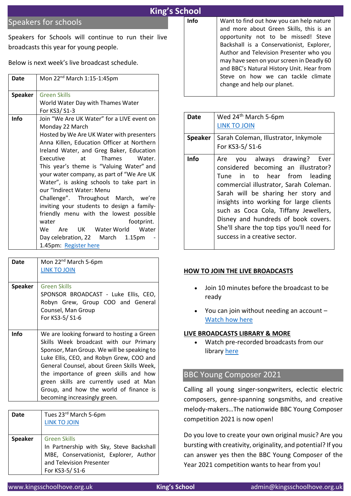# Speakers for schools

Speakers for Schools will continue to run their live broadcasts this year for young people.

Below is next week's live broadcast schedule.

| Date           | Mon 22 <sup>nd</sup> March 1:15-1:45pm                                                                                                                                                                                                                                                                                                                                                                                                                                                                                                                                                                                                                                       |
|----------------|------------------------------------------------------------------------------------------------------------------------------------------------------------------------------------------------------------------------------------------------------------------------------------------------------------------------------------------------------------------------------------------------------------------------------------------------------------------------------------------------------------------------------------------------------------------------------------------------------------------------------------------------------------------------------|
| <b>Speaker</b> | <b>Green Skills</b><br>World Water Day with Thames Water<br>For KS3/ S1-3                                                                                                                                                                                                                                                                                                                                                                                                                                                                                                                                                                                                    |
| <b>Info</b>    | Join "We Are UK Water" for a LIVE event on<br>Monday 22 March<br>Hosted by We Are UK Water with presenters<br>Anna Killen, Education Officer at Northern<br>Ireland Water, and Greg Baker, Education<br>Executive<br>at Thames<br>Water.<br>This year's theme is "Valuing Water" and<br>your water company, as part of "We Are UK<br>Water", is asking schools to take part in<br>our "Indirect Water: Menu<br>Challenge". Throughout March, we're<br>inviting your students to design a family-<br>friendly menu with the lowest possible<br>water<br>footprint.<br>We Are UK Water World Water<br>Day celebration, 22 March<br>1.15 <sub>pm</sub><br>1.45pm: Register here |

| Date           | Mon 22 <sup>nd</sup> March 5-6pm<br><b>LINK TO JOIN</b>                                                                                                                                                                                                                                                                                                                                  |
|----------------|------------------------------------------------------------------------------------------------------------------------------------------------------------------------------------------------------------------------------------------------------------------------------------------------------------------------------------------------------------------------------------------|
| <b>Speaker</b> | Green Skills<br>SPONSOR BROADCAST - Luke Ellis, CEO,<br>Robyn Grew, Group COO and General<br>Counsel, Man Group<br>For KS3-5/S1-6                                                                                                                                                                                                                                                        |
| <b>Info</b>    | We are looking forward to hosting a Green<br>Skills Week broadcast with our Primary<br>Sponsor, Man Group. We will be speaking to<br>Luke Ellis, CEO, and Robyn Grew, COO and<br>General Counsel, about Green Skills Week,<br>the importance of green skills and how<br>green skills are currently used at Man<br>Group, and how the world of finance is<br>becoming increasingly green. |

| Date           | Tues 23rd March 5-6pm<br><b>LINK TO JOIN</b>                                                                                                            |
|----------------|---------------------------------------------------------------------------------------------------------------------------------------------------------|
| <b>Speaker</b> | <b>Green Skills</b><br>In Partnership with Sky, Steve Backshall<br>MBE, Conservationist, Explorer, Author<br>and Television Presenter<br>For KS3-5/S1-6 |

| Info | Want to find out how you can help nature<br>and more about Green Skills, this is an<br>opportunity not to be missed! Steve<br>Backshall is a Conservationist, Explorer, |
|------|-------------------------------------------------------------------------------------------------------------------------------------------------------------------------|
|      | Author and Television Presenter who you                                                                                                                                 |
|      | may have seen on your screen in Deadly 60<br>and BBC's Natural History Unit. Hear from                                                                                  |
|      | Steve on how we can tackle climate<br>change and help our planet.                                                                                                       |
|      |                                                                                                                                                                         |

| Date           | Wed 24 <sup>th</sup> March 5-6pm<br><b>LINK TO JOIN</b>                                                                                                                                                                                                                                                                                                                                       |
|----------------|-----------------------------------------------------------------------------------------------------------------------------------------------------------------------------------------------------------------------------------------------------------------------------------------------------------------------------------------------------------------------------------------------|
| <b>Speaker</b> | Sarah Coleman, Illustrator, Inkymole<br>For KS3-5/ S1-6                                                                                                                                                                                                                                                                                                                                       |
| Info           | Are you always drawing? Ever<br>considered becoming an illustrator?<br>Tune in to hear from leading<br>commercial illustrator, Sarah Coleman.<br>Sarah will be sharing her story and<br>insights into working for large clients<br>such as Coca Cola, Tiffany Jewellers,<br>Disney and hundreds of book covers.<br>She'll share the top tips you'll need for<br>success in a creative sector. |

#### **HOW TO JOIN THE LIVE BROADCASTS**

- Join 10 minutes before the broadcast to be ready
- You can join without needing an account [Watch how here](https://vimeo.com/418436143)

#### **LIVE BROADCASTS LIBRARY & MORE**

• Watch pre-recorded broadcasts from our library [here](https://www.speakersforschools.org/inspiration/vtalks/vtalks-video-library/)

# BBC Young Composer 2021

Calling all young singer-songwriters, eclectic electric composers, genre-spanning songsmiths, and creative melody-makers…The nationwide BBC Young Composer competition 2021 is now open!

Do you love to create your own original music? Are you bursting with creativity, originality, and potential? If you can answer yes then the BBC Young Composer of the Year 2021 competition wants to hear from you!